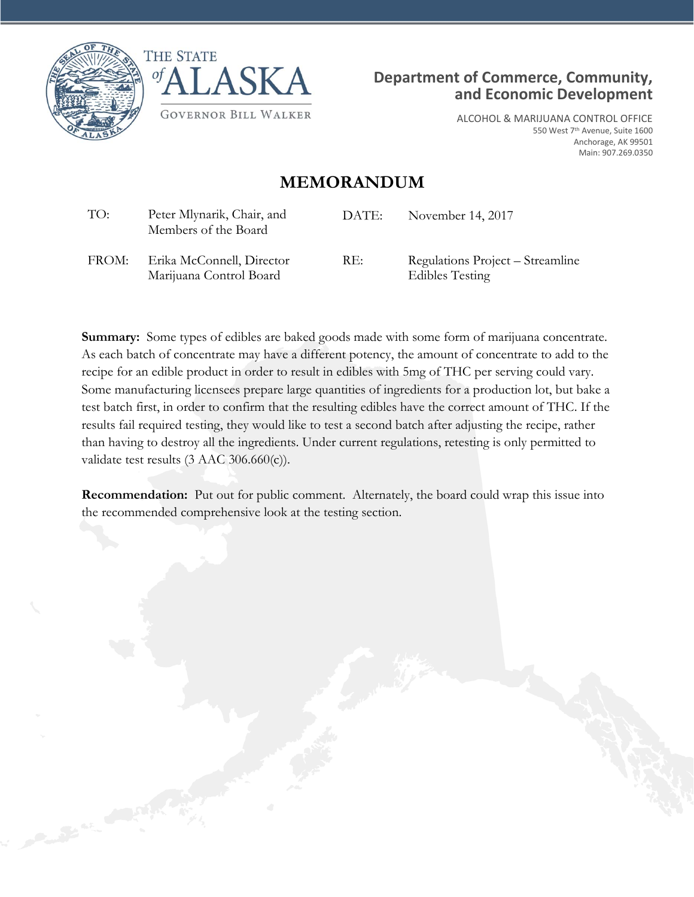





ALCOHOL & MARIJUANA CONTROL OFFICE 550 West 7<sup>th</sup> Avenue, Suite 1600 Anchorage, AK 99501 Main: 907.269.0350

## **MEMORANDUM**

| TO:   | Peter Mlynarik, Chair, and<br>Members of the Board   | DATE: | November 14, 2017                                          |
|-------|------------------------------------------------------|-------|------------------------------------------------------------|
| FROM: | Erika McConnell, Director<br>Marijuana Control Board | RE:   | Regulations Project – Streamline<br><b>Edibles Testing</b> |

**Summary:** Some types of edibles are baked goods made with some form of marijuana concentrate. As each batch of concentrate may have a different potency, the amount of concentrate to add to the recipe for an edible product in order to result in edibles with 5mg of THC per serving could vary. Some manufacturing licensees prepare large quantities of ingredients for a production lot, but bake a test batch first, in order to confirm that the resulting edibles have the correct amount of THC. If the results fail required testing, they would like to test a second batch after adjusting the recipe, rather than having to destroy all the ingredients. Under current regulations, retesting is only permitted to validate test results (3 AAC 306.660(c)).

**Recommendation:** Put out for public comment. Alternately, the board could wrap this issue into the recommended comprehensive look at the testing section.